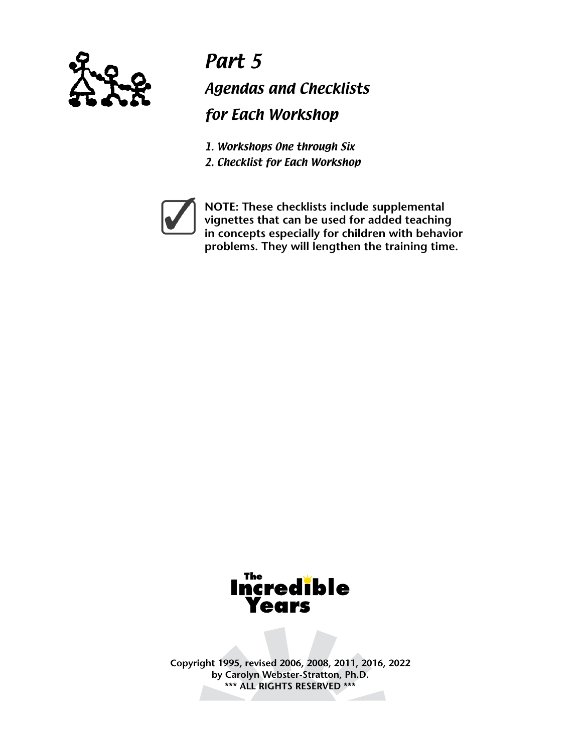

Part 5 Agendas and Checklists for Each Workshop

1. Workshops One through Six 2. Checklist for Each Workshop



**NOTE: These checklists include supplemental vignettes that can be used for added teaching in concepts especially for children with behavior problems. They will lengthen the training time.**



**Copyright 1995, revised 2006, 2008, 2011, 2016, 2022 by Carolyn Webster-Stratton, Ph.D. \*\*\* ALL RIGHTS RESERVED \*\*\***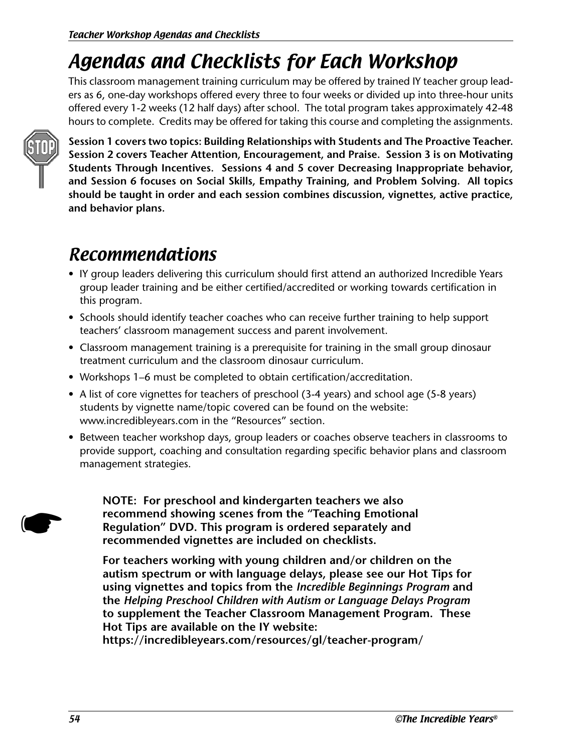# Agendas and Checklists for Each Workshop

This classroom management training curriculum may be offered by trained IY teacher group leaders as 6, one-day workshops offered every three to four weeks or divided up into three-hour units offered every 1-2 weeks (12 half days) after school. The total program takes approximately 42-48 hours to complete. Credits may be offered for taking this course and completing the assignments.



**Session 1 covers two topics: Building Relationships with Students and The Proactive Teacher. Session 2 covers Teacher Attention, Encouragement, and Praise. Session 3 is on Motivating Students Through Incentives. Sessions 4 and 5 cover Decreasing Inappropriate behavior, and Session 6 focuses on Social Skills, Empathy Training, and Problem Solving. All topics should be taught in order and each session combines discussion, vignettes, active practice, and behavior plans.** 

# Recommendations

- IY group leaders delivering this curriculum should first attend an authorized Incredible Years group leader training and be either certified/accredited or working towards certification in this program.
- Schools should identify teacher coaches who can receive further training to help support teachers' classroom management success and parent involvement.
- Classroom management training is a prerequisite for training in the small group dinosaur treatment curriculum and the classroom dinosaur curriculum.
- Workshops 1–6 must be completed to obtain certification/accreditation.
- A list of core vignettes for teachers of preschool (3-4 years) and school age (5-8 years) students by vignette name/topic covered can be found on the website: www.incredibleyears.com in the "Resources" section.
- Between teacher workshop days, group leaders or coaches observe teachers in classrooms to provide support, coaching and consultation regarding specific behavior plans and classroom management strategies.

**NOTE: For preschool and kindergarten teachers we also recommend showing scenes from the "Teaching Emotional Regulation" DVD. This program is ordered separately and recommended vignettes are included on checklists.**

**For teachers working with young children and/or children on the autism spectrum or with language delays, please see our Hot Tips for using vignettes and topics from the** *Incredible Beginnings Program* **and the** *Helping Preschool Children with Autism or Language Delays Program*  **to supplement the Teacher Classroom Management Program. These Hot Tips are available on the IY website:** 

**https://incredibleyears.com/resources/gl/teacher-program/**

☛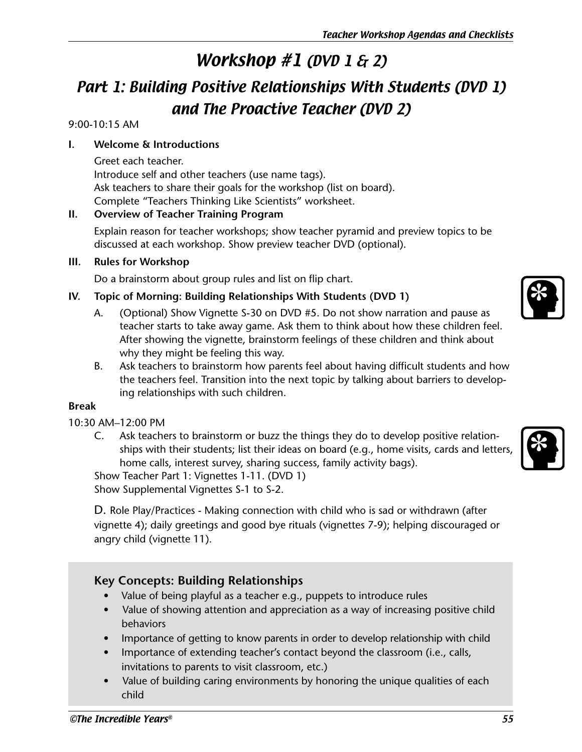# Workshop #1 (DVD 1 & 2)

# Part 1: Building Positive Relationships With Students (DVD 1) and The Proactive Teacher (DVD 2)

### 9:00-10:15 AM

### **I. Welcome & Introductions**

Greet each teacher. Introduce self and other teachers (use name tags). Ask teachers to share their goals for the workshop (list on board). Complete "Teachers Thinking Like Scientists" worksheet.

### **II. Overview of Teacher Training Program**

Explain reason for teacher workshops; show teacher pyramid and preview topics to be discussed at each workshop. Show preview teacher DVD (optional).

### **III. Rules for Workshop**

Do a brainstorm about group rules and list on flip chart.

### **IV. Topic of Morning: Building Relationships With Students (DVD 1)**

- A. (Optional) Show Vignette S-30 on DVD #5. Do not show narration and pause as teacher starts to take away game. Ask them to think about how these children feel. After showing the vignette, brainstorm feelings of these children and think about why they might be feeling this way.
- B. Ask teachers to brainstorm how parents feel about having difficult students and how the teachers feel. Transition into the next topic by talking about barriers to developing relationships with such children.

### **Break**

### 10:30 AM–12:00 PM

C. Ask teachers to brainstorm or buzz the things they do to develop positive relationships with their students; list their ideas on board (e.g., home visits, cards and letters, home calls, interest survey, sharing success, family activity bags).

Show Teacher Part 1: Vignettes 1-11. (DVD 1)

Show Supplemental Vignettes S-1 to S-2.

D. Role Play/Practices - Making connection with child who is sad or withdrawn (after vignette 4); daily greetings and good bye rituals (vignettes 7-9); helping discouraged or angry child (vignette 11).

## **Key Concepts: Building Relationships**

- Value of being playful as a teacher e.g., puppets to introduce rules
- Value of showing attention and appreciation as a way of increasing positive child behaviors
- Importance of getting to know parents in order to develop relationship with child
- Importance of extending teacher's contact beyond the classroom (i.e., calls, invitations to parents to visit classroom, etc.)
- Value of building caring environments by honoring the unique qualities of each child





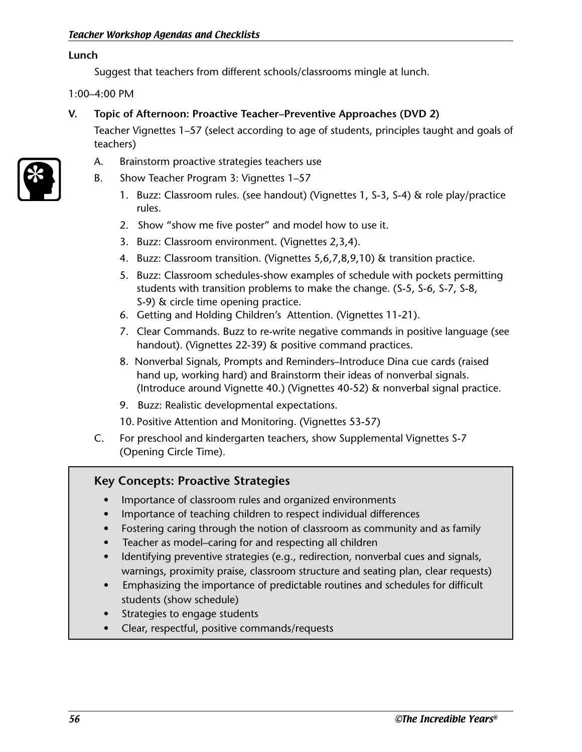#### **Lunch**

Suggest that teachers from different schools/classrooms mingle at lunch.

1:00–4:00 PM

### **V. Topic of Afternoon: Proactive Teacher–Preventive Approaches (DVD 2)**

Teacher Vignettes 1–57 (select according to age of students, principles taught and goals of teachers)



- B. Show Teacher Program 3: Vignettes 1–57
	- 1. Buzz: Classroom rules. (see handout) (Vignettes 1, S-3, S-4) & role play/practice rules.
	- 2. Show "show me five poster" and model how to use it.
	- 3. Buzz: Classroom environment. (Vignettes 2,3,4).
	- 4. Buzz: Classroom transition. (Vignettes 5,6,7,8,9,10) & transition practice.
	- 5. Buzz: Classroom schedules-show examples of schedule with pockets permitting students with transition problems to make the change. (S-5, S-6, S-7, S-8, S-9) & circle time opening practice.
	- 6. Getting and Holding Children's Attention. (Vignettes 11-21).
	- 7. Clear Commands. Buzz to re-write negative commands in positive language (see handout). (Vignettes 22-39) & positive command practices.
	- 8. Nonverbal Signals, Prompts and Reminders–Introduce Dina cue cards (raised hand up, working hard) and Brainstorm their ideas of nonverbal signals. (Introduce around Vignette 40.) (Vignettes 40-52) & nonverbal signal practice.
	- 9. Buzz: Realistic developmental expectations.
	- 10. Positive Attention and Monitoring. (Vignettes 53-57)
- C. For preschool and kindergarten teachers, show Supplemental Vignettes S-7 (Opening Circle Time).

### **Key Concepts: Proactive Strategies**

- Importance of classroom rules and organized environments
- Importance of teaching children to respect individual differences
- Fostering caring through the notion of classroom as community and as family
- Teacher as model–caring for and respecting all children
- Identifying preventive strategies (e.g., redirection, nonverbal cues and signals, warnings, proximity praise, classroom structure and seating plan, clear requests)
- Emphasizing the importance of predictable routines and schedules for difficult students (show schedule)
- Strategies to engage students
- Clear, respectful, positive commands/requests

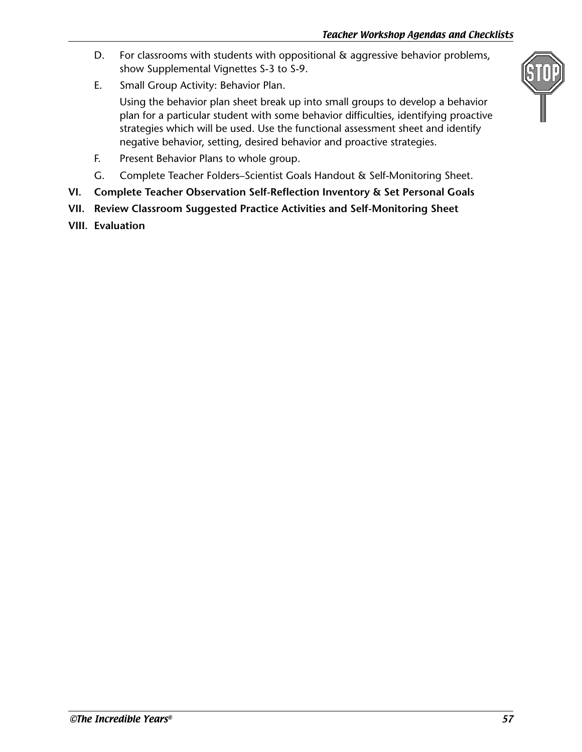- D. For classrooms with students with oppositional & aggressive behavior problems, show Supplemental Vignettes S-3 to S-9.
- E. Small Group Activity: Behavior Plan.

Using the behavior plan sheet break up into small groups to develop a behavior plan for a particular student with some behavior difficulties, identifying proactive strategies which will be used. Use the functional assessment sheet and identify negative behavior, setting, desired behavior and proactive strategies.

- F. Present Behavior Plans to whole group.
- G. Complete Teacher Folders–Scientist Goals Handout & Self-Monitoring Sheet.
- **VI. Complete Teacher Observation Self-Reflection Inventory & Set Personal Goals**
- **VII. Review Classroom Suggested Practice Activities and Self-Monitoring Sheet**
- **VIII. Evaluation**

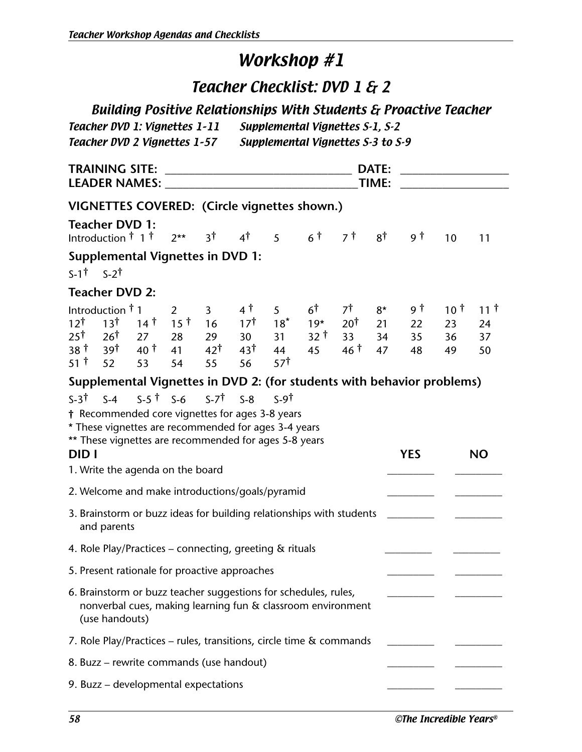## Teacher Checklist: DVD 1 & 2

## Building Positive Relationships With Students & Proactive Teacher

| <b>Teacher DVD 1: Vignettes 1-11</b> | Supplemental Vignettes S-1, S-2   |
|--------------------------------------|-----------------------------------|
| Teacher DVD 2 Vignettes 1-57         | Supplemental Vignettes S-3 to S-9 |

|                                                                      | <b>TRAINING SITE:</b> |                       |                 |                                                     |                 |                       |                                                             |                 |       |                                                                        |                 |              |
|----------------------------------------------------------------------|-----------------------|-----------------------|-----------------|-----------------------------------------------------|-----------------|-----------------------|-------------------------------------------------------------|-----------------|-------|------------------------------------------------------------------------|-----------------|--------------|
| <b>LEADER NAMES:</b>                                                 |                       |                       |                 |                                                     |                 |                       |                                                             |                 | TIME: |                                                                        |                 |              |
| VIGNETTES COVERED: (Circle vignettes shown.)                         |                       |                       |                 |                                                     |                 |                       |                                                             |                 |       |                                                                        |                 |              |
| <b>Teacher DVD 1:</b>                                                |                       |                       |                 |                                                     |                 |                       |                                                             |                 |       |                                                                        |                 |              |
| Introduction <sup>†</sup> 1 <sup>†</sup>                             |                       |                       | $2**$           | 3 <sup>†</sup>                                      | $4^{\dagger}$   | 5 <sup>7</sup>        | $6^{\dagger}$                                               | 7 †             | 8†    | 9 †                                                                    | 10              | 11           |
| <b>Supplemental Vignettes in DVD 1:</b>                              |                       |                       |                 |                                                     |                 |                       |                                                             |                 |       |                                                                        |                 |              |
| $S-1^{\dagger}$ $S-2^{\dagger}$                                      |                       |                       |                 |                                                     |                 |                       |                                                             |                 |       |                                                                        |                 |              |
| <b>Teacher DVD 2:</b>                                                |                       |                       |                 |                                                     |                 |                       |                                                             |                 |       |                                                                        |                 |              |
| Introduction <sup>†</sup> 1                                          |                       |                       | $\overline{2}$  | $\overline{3}$                                      | 4 †             | 5                     | $6^{\dagger}$                                               | 7†              | $8*$  | 9 T                                                                    | 10 $^{\dagger}$ | 11 $\dagger$ |
| 12 <sup>†</sup>                                                      | 13 <sup>†</sup>       | 14 <sup>†</sup>       | 15 <sup>†</sup> | 16                                                  | $17^{\dagger}$  | $18*$                 | $19*$                                                       | $20^{\dagger}$  | 21    | 22                                                                     | 23              | 24           |
| 25†                                                                  | 26 <sup>†</sup>       | 27                    | 28              | 29                                                  | 30 <sup>2</sup> | 31                    | 32 t                                                        | 33              | 34    | 35                                                                     | 36              | 37           |
| 38 T<br>51 <sup>†</sup>                                              | 39†<br>52             | 40 <sup>†</sup><br>53 | 41<br>54        | $42^{\dagger}$<br>55                                | 43†<br>56       | 44<br>57 <sup>†</sup> | 45                                                          | 46 <sup>†</sup> | 47    | 48                                                                     | 49              | 50           |
|                                                                      |                       |                       |                 |                                                     |                 |                       |                                                             |                 |       | Supplemental Vignettes in DVD 2: (for students with behavior problems) |                 |              |
| $S-3^{\dagger}$                                                      |                       |                       |                 | $S-4$ $S-5$ $\uparrow$ $S-6$ $S-7$ $\uparrow$ $S-8$ |                 | $S-9$                 |                                                             |                 |       |                                                                        |                 |              |
| † Recommended core vignettes for ages 3-8 years                      |                       |                       |                 |                                                     |                 |                       |                                                             |                 |       |                                                                        |                 |              |
| * These vignettes are recommended for ages 3-4 years                 |                       |                       |                 |                                                     |                 |                       |                                                             |                 |       |                                                                        |                 |              |
| ** These vignettes are recommended for ages 5-8 years<br>DID I       |                       |                       |                 |                                                     |                 |                       |                                                             |                 |       |                                                                        |                 | <b>NO</b>    |
| 1. Write the agenda on the board                                     |                       |                       |                 |                                                     |                 |                       |                                                             |                 |       | <b>YES</b>                                                             |                 |              |
|                                                                      |                       |                       |                 |                                                     |                 |                       |                                                             |                 |       |                                                                        |                 |              |
| 2. Welcome and make introductions/goals/pyramid                      |                       |                       |                 |                                                     |                 |                       |                                                             |                 |       |                                                                        |                 |              |
| 3. Brainstorm or buzz ideas for building relationships with students | and parents           |                       |                 |                                                     |                 |                       |                                                             |                 |       |                                                                        |                 |              |
| 4. Role Play/Practices - connecting, greeting & rituals              |                       |                       |                 |                                                     |                 |                       |                                                             |                 |       |                                                                        |                 |              |
| 5. Present rationale for proactive approaches                        |                       |                       |                 |                                                     |                 |                       |                                                             |                 |       |                                                                        |                 |              |
| 6. Brainstorm or buzz teacher suggestions for schedules, rules,      | (use handouts)        |                       |                 |                                                     |                 |                       | nonverbal cues, making learning fun & classroom environment |                 |       |                                                                        |                 |              |
| 7. Role Play/Practices – rules, transitions, circle time & commands  |                       |                       |                 |                                                     |                 |                       |                                                             |                 |       |                                                                        |                 |              |
| 8. Buzz – rewrite commands (use handout)                             |                       |                       |                 |                                                     |                 |                       |                                                             |                 |       |                                                                        |                 |              |
| 9. Buzz - developmental expectations                                 |                       |                       |                 |                                                     |                 |                       |                                                             |                 |       |                                                                        |                 |              |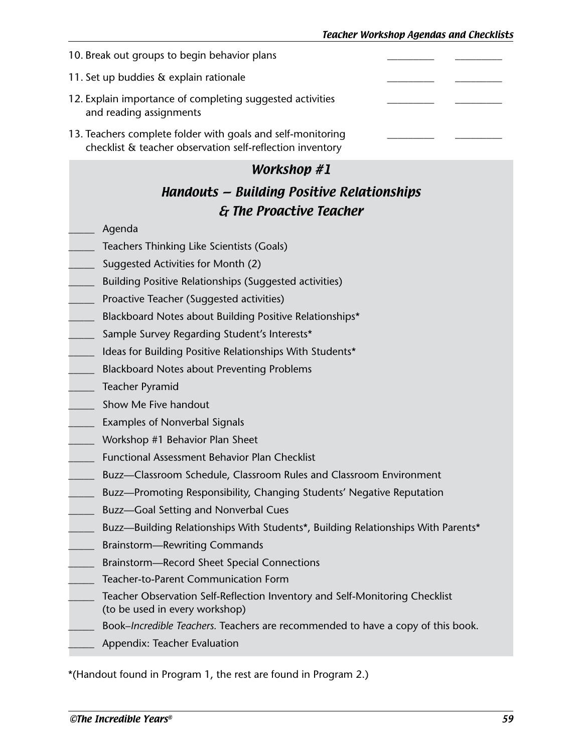| 10. Break out groups to begin behavior plans                                                                             |  |
|--------------------------------------------------------------------------------------------------------------------------|--|
| 11. Set up buddies & explain rationale                                                                                   |  |
| 12. Explain importance of completing suggested activities<br>and reading assignments                                     |  |
| 13. Teachers complete folder with goals and self-monitoring<br>checklist & teacher observation self-reflection inventory |  |

## Handouts — Building Positive Relationships & The Proactive Teacher

- \_\_\_\_\_ Agenda
- Teachers Thinking Like Scientists (Goals)
- \_\_\_\_\_ Suggested Activities for Month (2)
- \_\_\_\_\_ Building Positive Relationships (Suggested activities)
- Proactive Teacher (Suggested activities)
- \_\_\_\_\_ Blackboard Notes about Building Positive Relationships\*
- Sample Survey Regarding Student's Interests\*
- \_\_\_\_\_ Ideas for Building Positive Relationships With Students\*
- \_\_\_\_\_ Blackboard Notes about Preventing Problems
- \_\_\_\_\_ Teacher Pyramid
- \_\_\_\_\_ Show Me Five handout
- \_\_\_\_\_ Examples of Nonverbal Signals
- Workshop #1 Behavior Plan Sheet
- Functional Assessment Behavior Plan Checklist
- Buzz—Classroom Schedule, Classroom Rules and Classroom Environment
- Buzz—Promoting Responsibility, Changing Students' Negative Reputation
- Buzz—Goal Setting and Nonverbal Cues
- Buzz—Building Relationships With Students\*, Building Relationships With Parents\*
- Brainstorm—Rewriting Commands
- \_\_\_\_\_ Brainstorm—Record Sheet Special Connections
- \_\_\_\_\_ Teacher-to-Parent Communication Form
- Teacher Observation Self-Reflection Inventory and Self-Monitoring Checklist (to be used in every workshop)
- Book–*Incredible Teachers*. Teachers are recommended to have a copy of this book.
- Appendix: Teacher Evaluation

\*(Handout found in Program 1, the rest are found in Program 2.)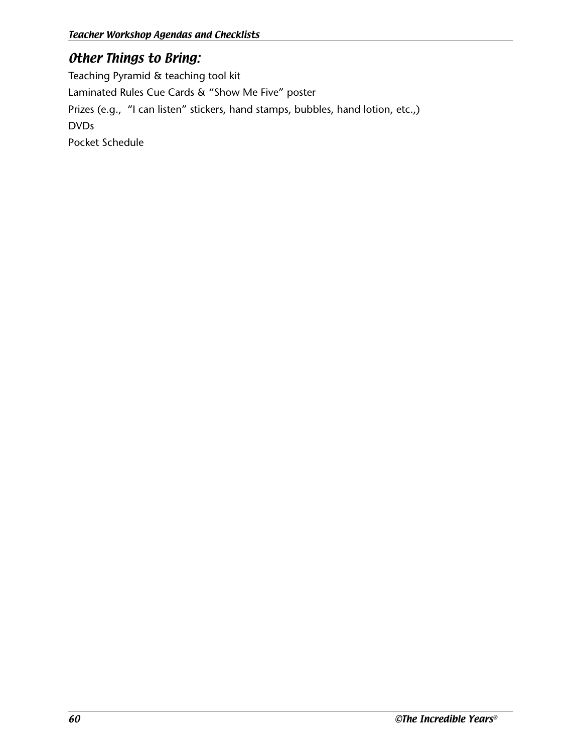## Other Things to Bring:

Teaching Pyramid & teaching tool kit Laminated Rules Cue Cards & "Show Me Five" poster Prizes (e.g., "I can listen" stickers, hand stamps, bubbles, hand lotion, etc.,) DVDs Pocket Schedule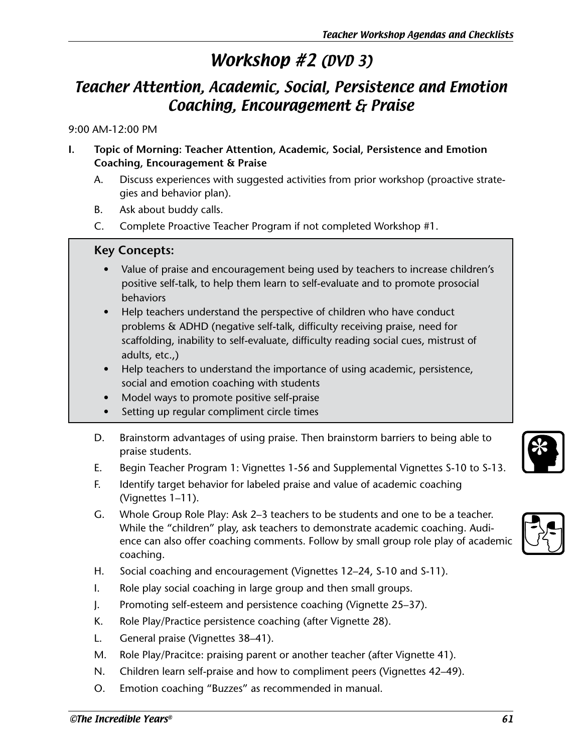# Workshop #2 (DVD 3)

## Teacher Attention, Academic, Social, Persistence and Emotion Coaching, Encouragement & Praise

9:00 AM-12:00 PM

- **I. Topic of Morning: Teacher Attention, Academic, Social, Persistence and Emotion Coaching, Encouragement & Praise** 
	- A. Discuss experiences with suggested activities from prior workshop (proactive strategies and behavior plan).
	- B. Ask about buddy calls.
	- C. Complete Proactive Teacher Program if not completed Workshop #1.

### **Key Concepts:**

- Value of praise and encouragement being used by teachers to increase children's positive self-talk, to help them learn to self-evaluate and to promote prosocial behaviors
- Help teachers understand the perspective of children who have conduct problems & ADHD (negative self-talk, difficulty receiving praise, need for scaffolding, inability to self-evaluate, difficulty reading social cues, mistrust of adults, etc.,)
- Help teachers to understand the importance of using academic, persistence, social and emotion coaching with students
- Model ways to promote positive self-praise
- Setting up regular compliment circle times
- D. Brainstorm advantages of using praise. Then brainstorm barriers to being able to praise students.
- E. Begin Teacher Program 1: Vignettes 1-56 and Supplemental Vignettes S-10 to S-13.
- F. Identify target behavior for labeled praise and value of academic coaching (Vignettes 1–11).
- G. Whole Group Role Play: Ask 2–3 teachers to be students and one to be a teacher. While the "children" play, ask teachers to demonstrate academic coaching. Audience can also offer coaching comments. Follow by small group role play of academic coaching.
- H. Social coaching and encouragement (Vignettes 12–24, S-10 and S-11).
- I. Role play social coaching in large group and then small groups.
- J. Promoting self-esteem and persistence coaching (Vignette 25–37).
- K. Role Play/Practice persistence coaching (after Vignette 28).
- L. General praise (Vignettes 38–41).
- M. Role Play/Pracitce: praising parent or another teacher (after Vignette 41).
- N. Children learn self-praise and how to compliment peers (Vignettes 42–49).
- O. Emotion coaching "Buzzes" as recommended in manual.

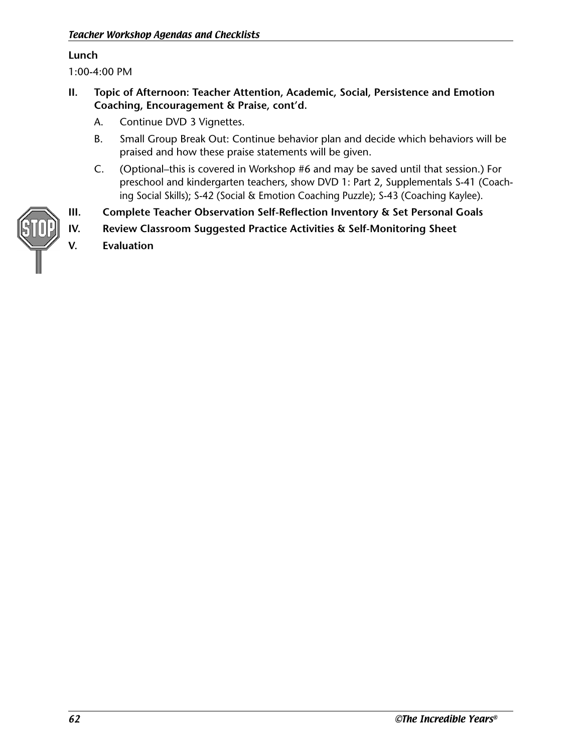#### **Lunch**

1:00-4:00 PM

- **II. Topic of Afternoon: Teacher Attention, Academic, Social, Persistence and Emotion Coaching, Encouragement & Praise, cont'd.**
	- A. Continue DVD 3 Vignettes.
	- B. Small Group Break Out: Continue behavior plan and decide which behaviors will be praised and how these praise statements will be given.
	- C. (Optional–this is covered in Workshop #6 and may be saved until that session.) For preschool and kindergarten teachers, show DVD 1: Part 2, Supplementals S-41 (Coaching Social Skills); S-42 (Social & Emotion Coaching Puzzle); S-43 (Coaching Kaylee).
- **III. Complete Teacher Observation Self-Reflection Inventory & Set Personal Goals**
- **IV. Review Classroom Suggested Practice Activities & Self-Monitoring Sheet V. Evaluation**

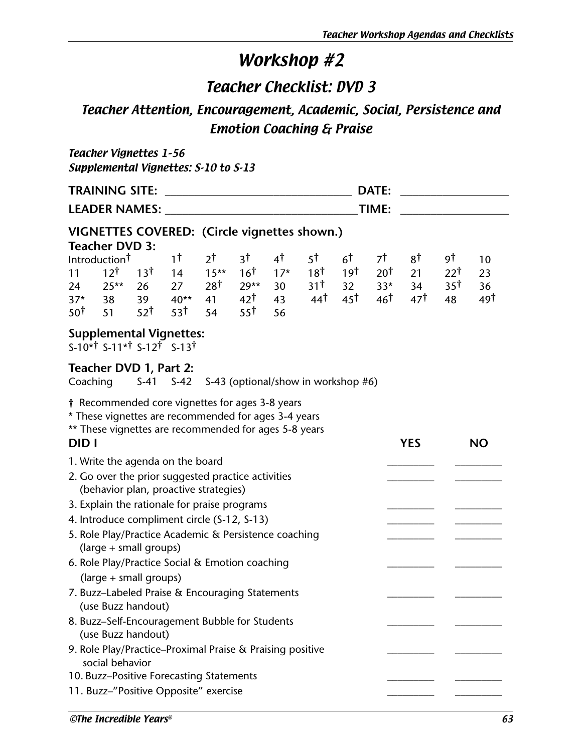## Teacher Checklist: DVD 3

## Teacher Attention, Encouragement, Academic, Social, Persistence and Emotion Coaching & Praise

### Teacher Vignettes 1–56 Supplemental Vignettes: S-10 to S-13

|                | <b>TRAINING SITE:</b>                        |                 |        |         |                 |       |                 |                 | DATE:           |                 |                 |     |  |  |
|----------------|----------------------------------------------|-----------------|--------|---------|-----------------|-------|-----------------|-----------------|-----------------|-----------------|-----------------|-----|--|--|
|                | <b>LEADER NAMES:</b>                         |                 |        |         |                 |       |                 |                 | TIME:           |                 |                 |     |  |  |
|                | VIGNETTES COVERED: (Circle vignettes shown.) |                 |        |         |                 |       |                 |                 |                 |                 |                 |     |  |  |
|                | <b>Teacher DVD 3:</b>                        |                 |        |         |                 |       |                 |                 |                 |                 |                 |     |  |  |
|                | Introduction <sup>†</sup>                    |                 | 1†     | 2†      | 3†              | 4†    | 5†              | 6 <sup>†</sup>  | 7†              | 8†              | 9Ť              | 10  |  |  |
| 11             | 12 <sup>†</sup>                              | 13 <sup>†</sup> | 14     | $15***$ | 16 <sup>†</sup> | $17*$ | 18 <sup>†</sup> | 19 <sup>†</sup> | †20             | 21              | $22^{\dagger}$  | 23  |  |  |
| 24             | $25**$                                       | 26              | 27     | 28†     | $29**$          | 30    | 31 <sup>†</sup> | 32              | $33*$           | 34              | 35 <sup>†</sup> | 36  |  |  |
| $37*$          | 38                                           | 39              | $40**$ | 41      | $42^{\dagger}$  | 43    | $44^{\dagger}$  | $45^{\dagger}$  | 46 <sup>†</sup> | 47 <sup>†</sup> | 48              | 49† |  |  |
| $50^{\dagger}$ | 51                                           | 52 <sup>†</sup> | 53†    | 54      | 55 <sup>†</sup> | 56    |                 |                 |                 |                 |                 |     |  |  |

### **Supplemental Vignettes:**

S-10\*† S-11\*† S-12† S-13†

### **Teacher DVD 1, Part 2:**

 $Coaching \t S41 S42 S43 (ontional/show in workshon #6)$ 

| COQUILIU<br>$5 - 41$ $5 - 42$ $5 - 45$ (Optional/STIOW IIT WORSHOP #0)                                                                                                    |            |           |
|---------------------------------------------------------------------------------------------------------------------------------------------------------------------------|------------|-----------|
| † Recommended core vignettes for ages 3-8 years<br>* These vignettes are recommended for ages 3-4 years<br>** These vignettes are recommended for ages 5-8 years<br>DID I | <b>YES</b> | <b>NO</b> |
| 1. Write the agenda on the board                                                                                                                                          |            |           |
| 2. Go over the prior suggested practice activities<br>(behavior plan, proactive strategies)                                                                               |            |           |
| 3. Explain the rationale for praise programs                                                                                                                              |            |           |
| 4. Introduce compliment circle (S-12, S-13)                                                                                                                               |            |           |
| 5. Role Play/Practice Academic & Persistence coaching<br>(large + small groups)                                                                                           |            |           |
| 6. Role Play/Practice Social & Emotion coaching<br>(large + small groups)                                                                                                 |            |           |
| 7. Buzz-Labeled Praise & Encouraging Statements<br>(use Buzz handout)                                                                                                     |            |           |
| 8. Buzz-Self-Encouragement Bubble for Students<br>(use Buzz handout)                                                                                                      |            |           |
| 9. Role Play/Practice-Proximal Praise & Praising positive<br>social behavior                                                                                              |            |           |
| 10. Buzz-Positive Forecasting Statements                                                                                                                                  |            |           |
| 11. Buzz-"Positive Opposite" exercise                                                                                                                                     |            |           |
| ©The Incredible Years®                                                                                                                                                    |            |           |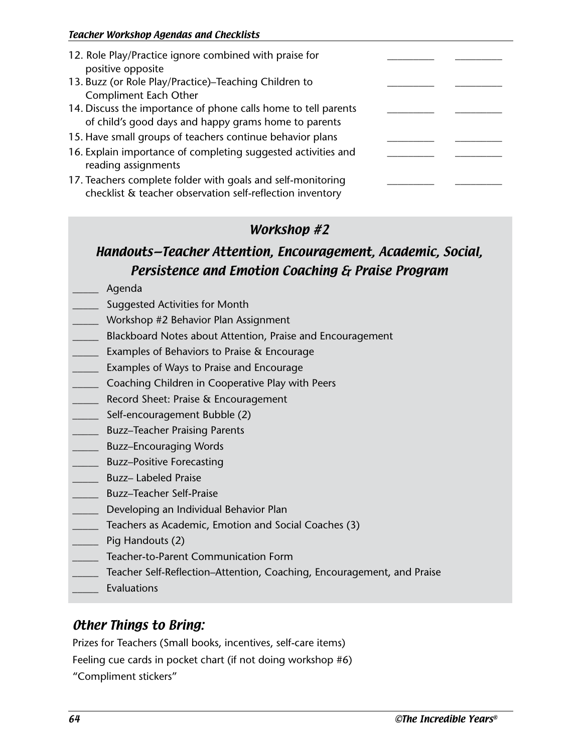| 12. Role Play/Practice ignore combined with praise for<br>positive opposite                                              |  |
|--------------------------------------------------------------------------------------------------------------------------|--|
| 13. Buzz (or Role Play/Practice)-Teaching Children to                                                                    |  |
| <b>Compliment Each Other</b>                                                                                             |  |
| 14. Discuss the importance of phone calls home to tell parents<br>of child's good days and happy grams home to parents   |  |
| 15. Have small groups of teachers continue behavior plans                                                                |  |
| 16. Explain importance of completing suggested activities and<br>reading assignments                                     |  |
| 17. Teachers complete folder with goals and self-monitoring<br>checklist & teacher observation self-reflection inventory |  |

## Handouts—Teacher Attention, Encouragement, Academic, Social, Persistence and Emotion Coaching & Praise Program

- \_\_\_\_\_ Agenda
- Suggested Activities for Month
- \_\_\_\_\_ Workshop #2 Behavior Plan Assignment
- \_\_\_\_\_ Blackboard Notes about Attention, Praise and Encouragement
- \_\_\_\_\_ Examples of Behaviors to Praise & Encourage
- \_\_\_\_\_ Examples of Ways to Praise and Encourage
- \_\_\_\_\_ Coaching Children in Cooperative Play with Peers
- \_\_\_\_\_ Record Sheet: Praise & Encouragement
- \_\_\_\_\_ Self-encouragement Bubble (2)
- \_\_\_\_\_ Buzz–Teacher Praising Parents
- \_\_\_\_\_ Buzz–Encouraging Words
- \_\_\_\_\_ Buzz–Positive Forecasting
- \_\_\_\_\_ Buzz– Labeled Praise
- \_\_\_\_\_ Buzz–Teacher Self-Praise
- \_\_\_\_\_ Developing an Individual Behavior Plan
- \_\_\_\_\_ Teachers as Academic, Emotion and Social Coaches (3)
- \_\_\_\_\_ Pig Handouts (2)
- \_\_\_\_\_ Teacher-to-Parent Communication Form
- \_\_\_\_\_ Teacher Self-Reflection–Attention, Coaching, Encouragement, and Praise
- \_\_\_\_\_ Evaluations

### Other Things to Bring:

Prizes for Teachers (Small books, incentives, self-care items)

Feeling cue cards in pocket chart (if not doing workshop #6)

"Compliment stickers"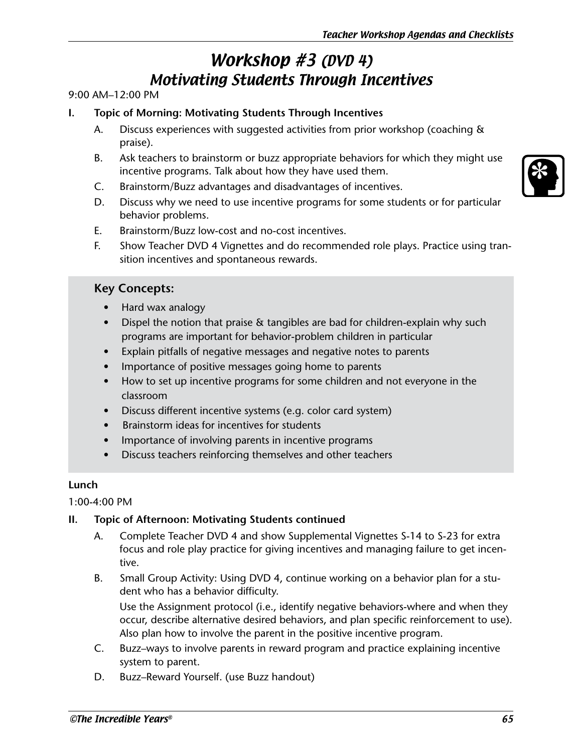# Workshop #3 (DVD 4) Motivating Students Through Incentives

#### 9:00 AM–12:00 PM

- **I. Topic of Morning: Motivating Students Through Incentives** 
	- A. Discuss experiences with suggested activities from prior workshop (coaching & praise).
	- B. Ask teachers to brainstorm or buzz appropriate behaviors for which they might use incentive programs. Talk about how they have used them.
	- C. Brainstorm/Buzz advantages and disadvantages of incentives.
	- D. Discuss why we need to use incentive programs for some students or for particular behavior problems.
	- E. Brainstorm/Buzz low-cost and no-cost incentives.
	- F. Show Teacher DVD 4 Vignettes and do recommended role plays. Practice using transition incentives and spontaneous rewards.

#### **Key Concepts:**

- Hard wax analogy
- Dispel the notion that praise & tangibles are bad for children-explain why such programs are important for behavior-problem children in particular
- Explain pitfalls of negative messages and negative notes to parents
- Importance of positive messages going home to parents
- How to set up incentive programs for some children and not everyone in the classroom
- Discuss different incentive systems (e.g. color card system)
- Brainstorm ideas for incentives for students
- Importance of involving parents in incentive programs
- Discuss teachers reinforcing themselves and other teachers

#### **Lunch**

#### 1:00-4:00 PM

#### **II. Topic of Afternoon: Motivating Students continued**

- A. Complete Teacher DVD 4 and show Supplemental Vignettes S-14 to S-23 for extra focus and role play practice for giving incentives and managing failure to get incentive.
- B. Small Group Activity: Using DVD 4, continue working on a behavior plan for a student who has a behavior difficulty.

Use the Assignment protocol (i.e., identify negative behaviors-where and when they occur, describe alternative desired behaviors, and plan specific reinforcement to use). Also plan how to involve the parent in the positive incentive program.

- C. Buzz–ways to involve parents in reward program and practice explaining incentive system to parent.
- D. Buzz–Reward Yourself. (use Buzz handout)

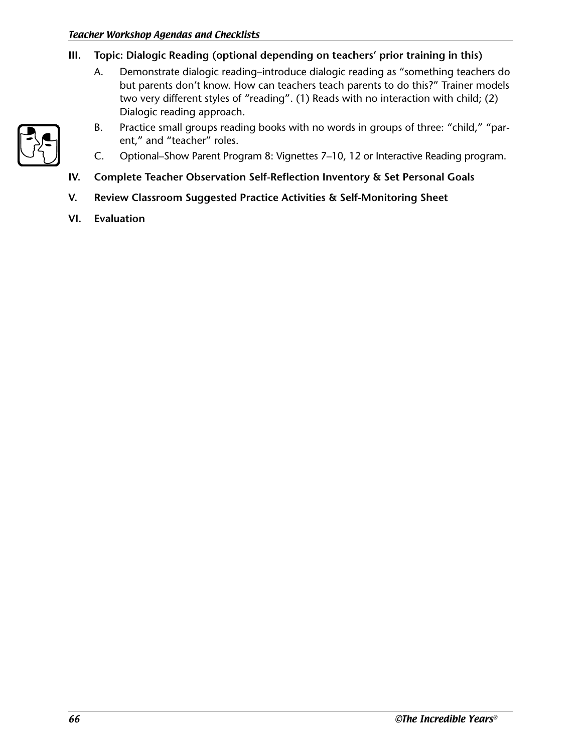- **III. Topic: Dialogic Reading (optional depending on teachers' prior training in this)**
	- A. Demonstrate dialogic reading–introduce dialogic reading as "something teachers do but parents don't know. How can teachers teach parents to do this?" Trainer models two very different styles of "reading". (1) Reads with no interaction with child; (2) Dialogic reading approach.



- B. Practice small groups reading books with no words in groups of three: "child," "parent," and "teacher" roles.
- C. Optional–Show Parent Program 8: Vignettes 7–10, 12 or Interactive Reading program.
- **IV. Complete Teacher Observation Self-Reflection Inventory & Set Personal Goals**
- **V. Review Classroom Suggested Practice Activities & Self-Monitoring Sheet**
- **VI. Evaluation**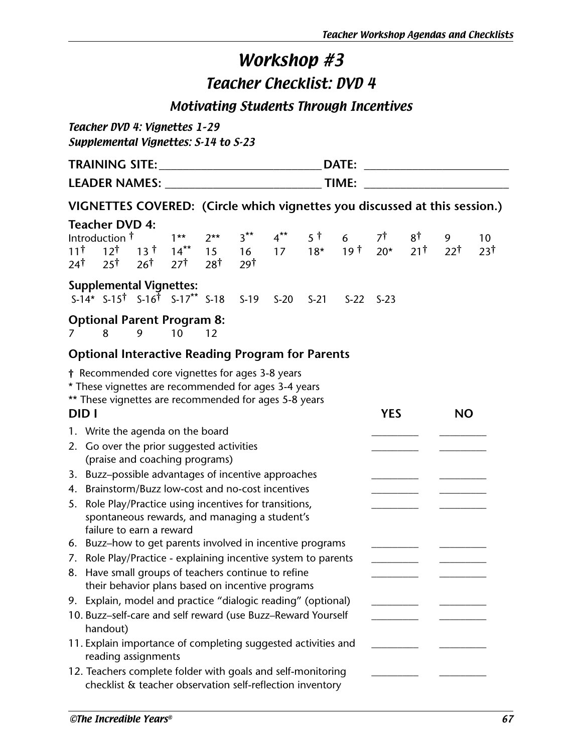Teacher Checklist: DVD 4

Motivating Students Through Incentives

Teacher DVD 4: Vignettes 1–29 Supplemental Vignettes: S-14 to S-23

| <b>TRAINING SITE:</b> | <b>DATE:</b> |  |
|-----------------------|--------------|--|
| <b>LEADER NAMES:</b>  | TIME:        |  |
|                       |              |  |

## **VIGNETTES COVERED: (Circle which vignettes you discussed at this session.)**

|                                  | <b>Teacher DVD 4:</b>                                                                                                    |                           |                           |                      |                       |        |        |                 |            |                |                |                 |
|----------------------------------|--------------------------------------------------------------------------------------------------------------------------|---------------------------|---------------------------|----------------------|-----------------------|--------|--------|-----------------|------------|----------------|----------------|-----------------|
|                                  | Introduction <sup>†</sup>                                                                                                |                           | $1**$                     | $2**$                | $3***$                | $4***$ | 5 †    | 6               | 7†         | 8†             | 9              | 10 <sup>°</sup> |
| $11^{\dagger}$<br>24†            | $12^{\dagger}$<br>$25^{\dagger}$                                                                                         | $13$ t<br>26 <sup>†</sup> | $14***$<br>$27^{\dagger}$ | 15<br>$28^{\dagger}$ | 16<br>29 <sup>†</sup> | 17     | $18*$  | 19 <sup>†</sup> | $20*$      | $21^{\dagger}$ | $22^{\dagger}$ | 23†             |
|                                  | <b>Supplemental Vignettes:</b>                                                                                           |                           |                           |                      |                       |        |        |                 |            |                |                |                 |
|                                  | $S-14* S-15$ $S-16$ $S-17** S-18$                                                                                        |                           |                           |                      | $S-19$                | $S-20$ | $S-21$ | $S-22$          | $S-23$     |                |                |                 |
|                                  | <b>Optional Parent Program 8:</b><br>8                                                                                   | 9                         | 10                        | 12                   |                       |        |        |                 |            |                |                |                 |
|                                  | <b>Optional Interactive Reading Program for Parents</b>                                                                  |                           |                           |                      |                       |        |        |                 |            |                |                |                 |
|                                  | † Recommended core vignettes for ages 3-8 years                                                                          |                           |                           |                      |                       |        |        |                 |            |                |                |                 |
|                                  | * These vignettes are recommended for ages 3-4 years                                                                     |                           |                           |                      |                       |        |        |                 |            |                |                |                 |
|                                  | ** These vignettes are recommended for ages 5-8 years                                                                    |                           |                           |                      |                       |        |        |                 |            |                |                |                 |
| DID I                            |                                                                                                                          |                           |                           |                      |                       |        |        |                 | <b>YES</b> |                | <b>NO</b>      |                 |
| 1. Write the agenda on the board |                                                                                                                          |                           |                           |                      |                       |        |        |                 |            |                |                |                 |
|                                  | 2. Go over the prior suggested activities                                                                                |                           |                           |                      |                       |        |        |                 |            |                |                |                 |
|                                  | (praise and coaching programs)                                                                                           |                           |                           |                      |                       |        |        |                 |            |                |                |                 |
| 4.                               | 3. Buzz-possible advantages of incentive approaches<br>Brainstorm/Buzz low-cost and no-cost incentives                   |                           |                           |                      |                       |        |        |                 |            |                |                |                 |
| 5.                               |                                                                                                                          |                           |                           |                      |                       |        |        |                 |            |                |                |                 |
|                                  | Role Play/Practice using incentives for transitions,<br>spontaneous rewards, and managing a student's                    |                           |                           |                      |                       |        |        |                 |            |                |                |                 |
|                                  | failure to earn a reward                                                                                                 |                           |                           |                      |                       |        |        |                 |            |                |                |                 |
|                                  | 6. Buzz-how to get parents involved in incentive programs                                                                |                           |                           |                      |                       |        |        |                 |            |                |                |                 |
|                                  | 7. Role Play/Practice - explaining incentive system to parents                                                           |                           |                           |                      |                       |        |        |                 |            |                |                |                 |
| 8.                               | Have small groups of teachers continue to refine                                                                         |                           |                           |                      |                       |        |        |                 |            |                |                |                 |
|                                  | their behavior plans based on incentive programs                                                                         |                           |                           |                      |                       |        |        |                 |            |                |                |                 |
|                                  | 9. Explain, model and practice "dialogic reading" (optional)                                                             |                           |                           |                      |                       |        |        |                 |            |                |                |                 |
|                                  | 10. Buzz-self-care and self reward (use Buzz-Reward Yourself<br>handout)                                                 |                           |                           |                      |                       |        |        |                 |            |                |                |                 |
|                                  | 11. Explain importance of completing suggested activities and<br>reading assignments                                     |                           |                           |                      |                       |        |        |                 |            |                |                |                 |
|                                  | 12. Teachers complete folder with goals and self-monitoring<br>checklist & teacher observation self-reflection inventory |                           |                           |                      |                       |        |        |                 |            |                |                |                 |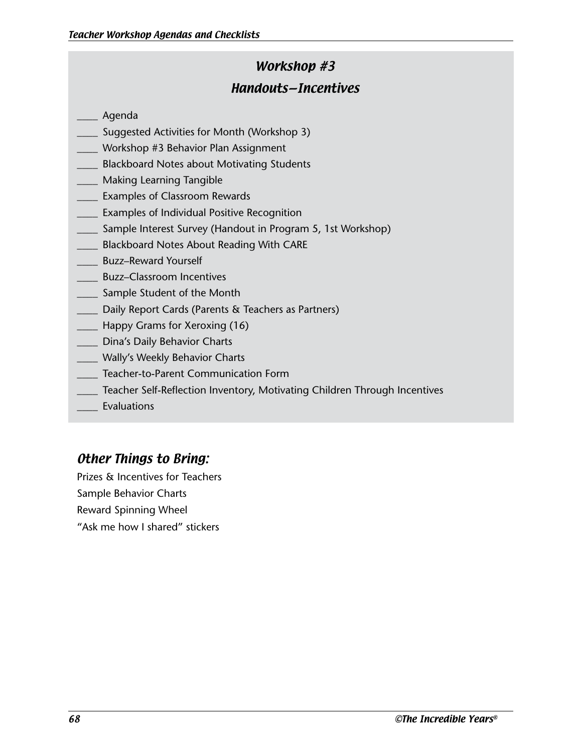## Workshop #3 Handouts—Incentives

- \_\_\_\_ Agenda
- Suggested Activities for Month (Workshop 3)
- Workshop #3 Behavior Plan Assignment
- Blackboard Notes about Motivating Students
- Making Learning Tangible
- \_\_\_\_ Examples of Classroom Rewards
- Examples of Individual Positive Recognition
- Sample Interest Survey (Handout in Program 5, 1st Workshop)
- Blackboard Notes About Reading With CARE
- \_\_\_\_ Buzz–Reward Yourself
- \_\_\_\_ Buzz–Classroom Incentives
- \_\_\_\_ Sample Student of the Month
- Daily Report Cards (Parents & Teachers as Partners)
- \_\_\_\_ Happy Grams for Xeroxing (16)
- \_\_\_\_ Dina's Daily Behavior Charts
- \_\_\_\_ Wally's Weekly Behavior Charts
- \_\_\_\_ Teacher-to-Parent Communication Form
- Teacher Self-Reflection Inventory, Motivating Children Through Incentives
- **Evaluations**

## Other Things to Bring:

Prizes & Incentives for Teachers Sample Behavior Charts Reward Spinning Wheel "Ask me how I shared" stickers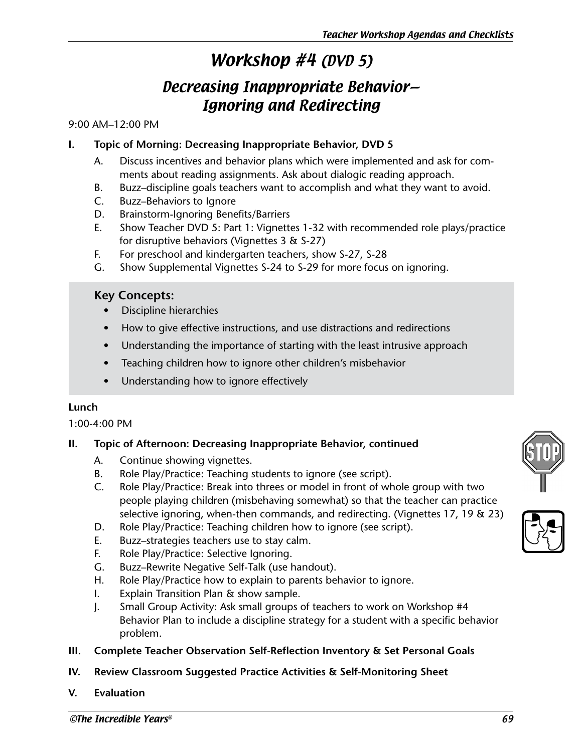# Workshop #4 (DVD 5)

# Decreasing Inappropriate Behavior— Ignoring and Redirecting

### 9:00 AM–12:00 PM

### **I. Topic of Morning: Decreasing Inappropriate Behavior, DVD 5**

- A. Discuss incentives and behavior plans which were implemented and ask for comments about reading assignments. Ask about dialogic reading approach.
- B. Buzz–discipline goals teachers want to accomplish and what they want to avoid.
- C. Buzz–Behaviors to Ignore
- D. Brainstorm-Ignoring Benefits/Barriers
- E. Show Teacher DVD 5: Part 1: Vignettes 1-32 with recommended role plays/practice for disruptive behaviors (Vignettes 3 & S-27)
- F. For preschool and kindergarten teachers, show S-27, S-28
- G. Show Supplemental Vignettes S-24 to S-29 for more focus on ignoring.

### **Key Concepts:**

- Discipline hierarchies
- How to give effective instructions, and use distractions and redirections
- Understanding the importance of starting with the least intrusive approach
- Teaching children how to ignore other children's misbehavior
- Understanding how to ignore effectively

### **Lunch**

1:00-4:00 PM

### **II. Topic of Afternoon: Decreasing Inappropriate Behavior, continued**

- A. Continue showing vignettes.
- B. Role Play/Practice: Teaching students to ignore (see script).
- C. Role Play/Practice: Break into threes or model in front of whole group with two people playing children (misbehaving somewhat) so that the teacher can practice selective ignoring, when-then commands, and redirecting. (Vignettes 17, 19 & 23)
- D. Role Play/Practice: Teaching children how to ignore (see script).
- E. Buzz–strategies teachers use to stay calm.
- F. Role Play/Practice: Selective Ignoring.
- G. Buzz–Rewrite Negative Self-Talk (use handout).
- H. Role Play/Practice how to explain to parents behavior to ignore.
- I. Explain Transition Plan & show sample.
- J. Small Group Activity: Ask small groups of teachers to work on Workshop #4 Behavior Plan to include a discipline strategy for a student with a specific behavior problem.
- **III. Complete Teacher Observation Self-Reflection Inventory & Set Personal Goals**
- **IV. Review Classroom Suggested Practice Activities & Self-Monitoring Sheet**
- **V. Evaluation**



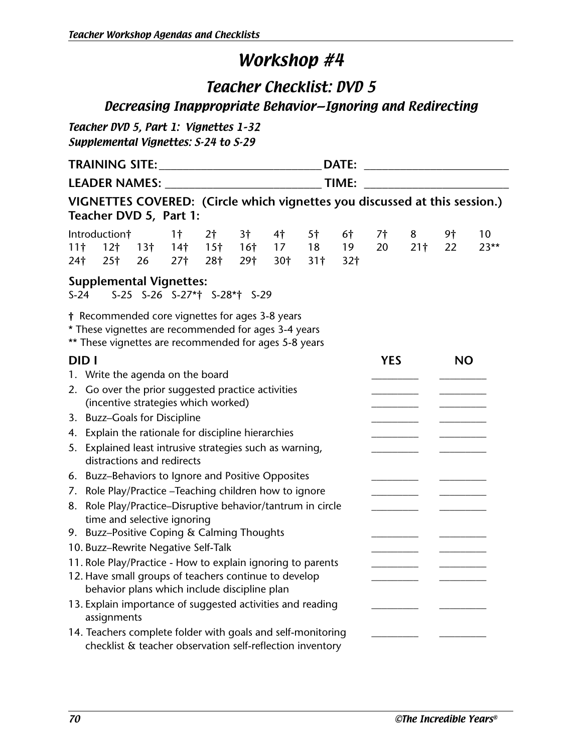## Teacher Checklist: DVD 5 Decreasing Inappropriate Behavior—Ignoring and Redirecting

Teacher DVD 5, Part 1: Vignettes 1–32 Supplemental Vignettes: S-24 to S-29

|                                    | DATE:                                                                                                                                                                                                                                                                                           |                              |                                                      |                                          |                                          |                             |                                         |                             |          |                                               |          |              |
|------------------------------------|-------------------------------------------------------------------------------------------------------------------------------------------------------------------------------------------------------------------------------------------------------------------------------------------------|------------------------------|------------------------------------------------------|------------------------------------------|------------------------------------------|-----------------------------|-----------------------------------------|-----------------------------|----------|-----------------------------------------------|----------|--------------|
|                                    |                                                                                                                                                                                                                                                                                                 |                              |                                                      |                                          |                                          |                             |                                         |                             |          | <u> 1989 - Johann Barbara, martxa alemani</u> |          |              |
|                                    | VIGNETTES COVERED: (Circle which vignettes you discussed at this session.)<br>Teacher DVD 5, Part 1:                                                                                                                                                                                            |                              |                                                      |                                          |                                          |                             |                                         |                             |          |                                               |          |              |
| 11 <sup>†</sup><br>24 <sup>†</sup> | Introduction†<br>12 <sub>1</sub><br>25 <sup>†</sup>                                                                                                                                                                                                                                             | 13 <sup>†</sup><br>26        | 1 <sup>†</sup><br>14 <sup>†</sup><br>27 <sup>†</sup> | 2 <sup>†</sup><br>15 <sup>†</sup><br>28† | 3 <sup>†</sup><br>16 <sup>†</sup><br>29† | 4 <sup>†</sup><br>17<br>30† | 5 <sup>†</sup><br>18<br>31 <sup>†</sup> | 6†<br>19<br>32 <sub>1</sub> | 7†<br>20 | 8<br>21 <sup>†</sup>                          | 9†<br>22 | 10<br>$23**$ |
| $S-24$                             | <b>Supplemental Vignettes:</b>                                                                                                                                                                                                                                                                  | S-25 S-26 S-27*† S-28*† S-29 |                                                      |                                          |                                          |                             |                                         |                             |          |                                               |          |              |
|                                    | † Recommended core vignettes for ages 3-8 years<br>* These vignettes are recommended for ages 3-4 years<br>** These vignettes are recommended for ages 5-8 years                                                                                                                                |                              |                                                      |                                          |                                          |                             |                                         |                             |          |                                               |          |              |
|                                    | <b>DIDI</b><br><b>YES</b><br><b>NO</b><br>1. Write the agenda on the board<br>2. Go over the prior suggested practice activities<br>(incentive strategies which worked)<br>3. Buzz-Goals for Discipline<br>4. Explain the rationale for discipline hierarchies                                  |                              |                                                      |                                          |                                          |                             |                                         |                             |          |                                               |          |              |
| 7.<br>8.                           | 5. Explained least intrusive strategies such as warning,<br>distractions and redirects<br>6. Buzz-Behaviors to Ignore and Positive Opposites<br>Role Play/Practice - Teaching children how to ignore<br>Role Play/Practice-Disruptive behavior/tantrum in circle<br>time and selective ignoring |                              |                                                      |                                          |                                          |                             |                                         |                             |          |                                               |          |              |
|                                    | 9. Buzz-Positive Coping & Calming Thoughts<br>10. Buzz-Rewrite Negative Self-Talk<br>11. Role Play/Practice - How to explain ignoring to parents<br>12. Have small groups of teachers continue to develop<br>behavior plans which include discipline plan                                       |                              |                                                      |                                          |                                          |                             |                                         |                             |          |                                               |          |              |
|                                    | 13. Explain importance of suggested activities and reading<br>assignments<br>14. Teachers complete folder with goals and self-monitoring<br>checklist & teacher observation self-reflection inventory                                                                                           |                              |                                                      |                                          |                                          |                             |                                         |                             |          |                                               |          |              |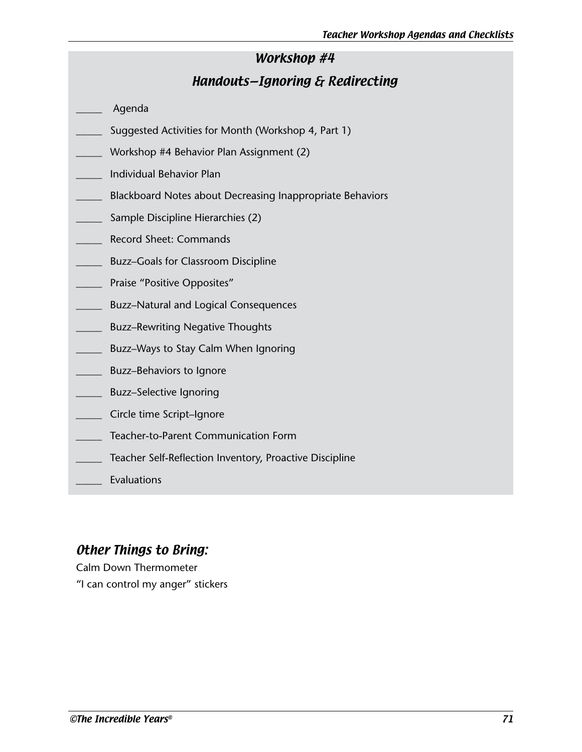### Handouts—Ignoring & Redirecting

- \_\_\_\_\_ Agenda
- Suggested Activities for Month (Workshop 4, Part 1)
- \_\_\_\_\_ Workshop #4 Behavior Plan Assignment (2)
- \_\_\_\_\_ Individual Behavior Plan
- \_\_\_\_\_ Blackboard Notes about Decreasing Inappropriate Behaviors
- \_\_\_\_\_ Sample Discipline Hierarchies (2)
- \_\_\_\_\_ Record Sheet: Commands
- \_\_\_\_\_ Buzz–Goals for Classroom Discipline
- \_\_\_\_\_ Praise "Positive Opposites"
- **EXECUTE:** Buzz–Natural and Logical Consequences
- \_\_\_\_\_ Buzz–Rewriting Negative Thoughts
- \_\_\_\_\_ Buzz–Ways to Stay Calm When Ignoring
- \_\_\_\_\_ Buzz–Behaviors to Ignore
- \_\_\_\_\_ Buzz–Selective Ignoring
- \_\_\_\_\_ Circle time Script–Ignore
- \_\_\_\_\_ Teacher-to-Parent Communication Form
- Teacher Self-Reflection Inventory, Proactive Discipline
- \_\_\_\_\_ Evaluations

### Other Things to Bring:

Calm Down Thermometer "I can control my anger" stickers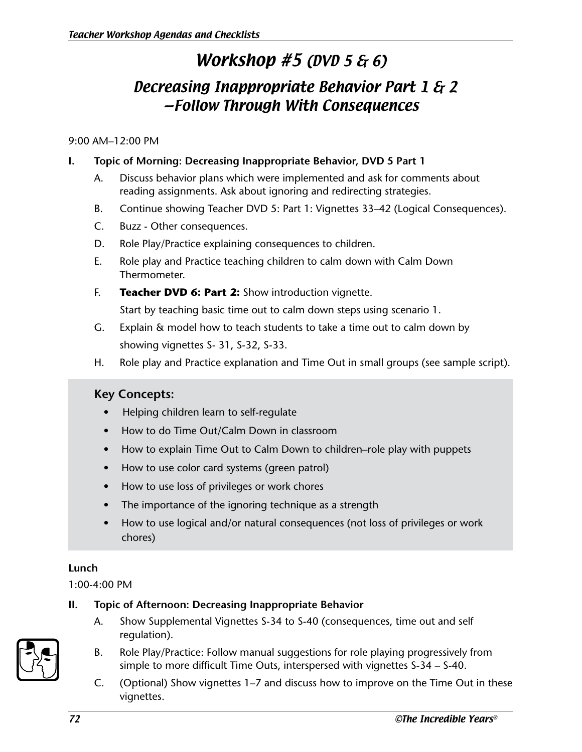# Workshop #5 (DVD 5 & 6)

## Decreasing Inappropriate Behavior Part 1 & 2 —Follow Through With Consequences

#### 9:00 AM–12:00 PM

### **I. Topic of Morning: Decreasing Inappropriate Behavior, DVD 5 Part 1**

- A. Discuss behavior plans which were implemented and ask for comments about reading assignments. Ask about ignoring and redirecting strategies.
- B. Continue showing Teacher DVD 5: Part 1: Vignettes 33–42 (Logical Consequences).
- C. Buzz Other consequences.
- D. Role Play/Practice explaining consequences to children.
- E. Role play and Practice teaching children to calm down with Calm Down Thermometer.
- F. **Teacher DVD 6: Part 2:** Show introduction vignette.

Start by teaching basic time out to calm down steps using scenario 1.

- G. Explain & model how to teach students to take a time out to calm down by showing vignettes S- 31, S-32, S-33.
- H. Role play and Practice explanation and Time Out in small groups (see sample script).

### **Key Concepts:**

- Helping children learn to self-regulate
- How to do Time Out/Calm Down in classroom
- How to explain Time Out to Calm Down to children–role play with puppets
- How to use color card systems (green patrol)
- How to use loss of privileges or work chores
- The importance of the ignoring technique as a strength
- How to use logical and/or natural consequences (not loss of privileges or work chores)

### **Lunch**

1:00-4:00 PM

### **II. Topic of Afternoon: Decreasing Inappropriate Behavior**

A. Show Supplemental Vignettes S-34 to S-40 (consequences, time out and self regulation).



- B. Role Play/Practice: Follow manual suggestions for role playing progressively from simple to more difficult Time Outs, interspersed with vignettes S-34 – S-40.
- C. (Optional) Show vignettes 1–7 and discuss how to improve on the Time Out in these vignettes.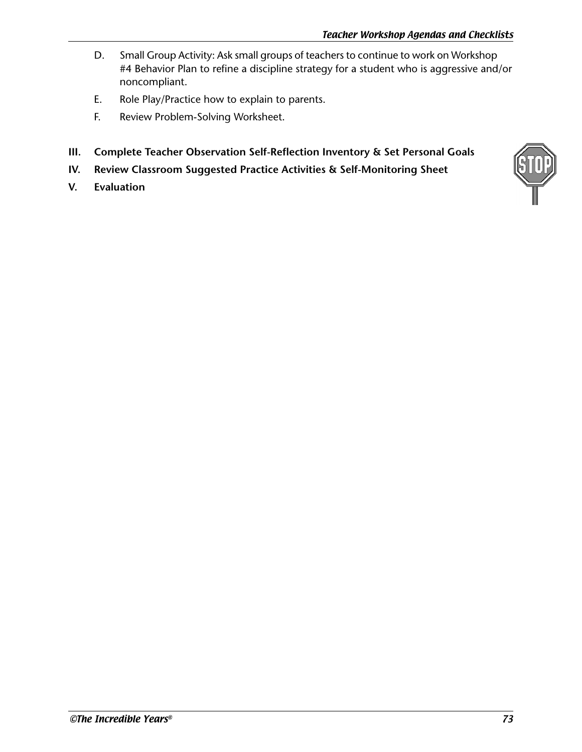- D. Small Group Activity: Ask small groups of teachers to continue to work on Workshop #4 Behavior Plan to refine a discipline strategy for a student who is aggressive and/or noncompliant.
- E. Role Play/Practice how to explain to parents.
- F. Review Problem-Solving Worksheet.
- **III. Complete Teacher Observation Self-Reflection Inventory & Set Personal Goals**
- **IV. Review Classroom Suggested Practice Activities & Self-Monitoring Sheet**
- **V. Evaluation**

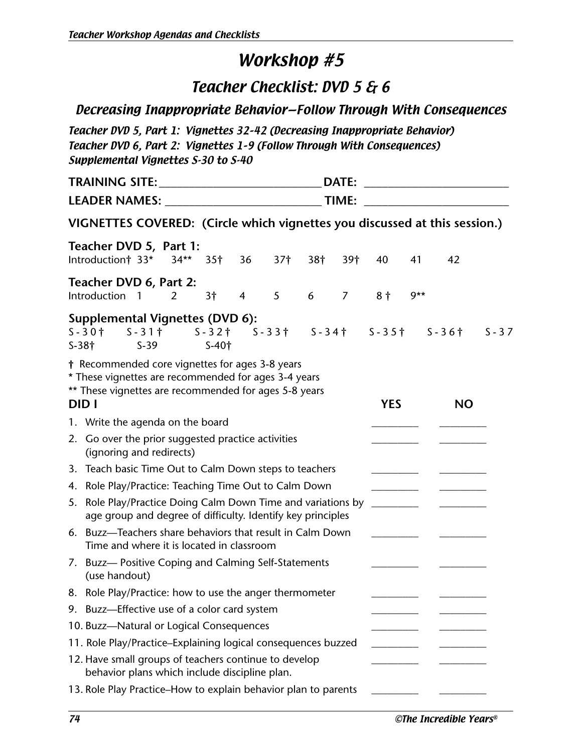## Teacher Checklist: DVD 5 & 6

### Decreasing Inappropriate Behavior—Follow Through With Consequences

Teacher DVD 5, Part 1: Vignettes 32–42 (Decreasing Inappropriate Behavior) Teacher DVD 6, Part 2: Vignettes 1–9 (Follow Through With Consequences) Supplemental Vignettes S-30 to S-40

|         | DATE:                                                                                                                                                                     |                          | <u> 1980 - Johann Barn, mars eta bainar eta </u> |          |
|---------|---------------------------------------------------------------------------------------------------------------------------------------------------------------------------|--------------------------|--------------------------------------------------|----------|
|         |                                                                                                                                                                           |                          |                                                  |          |
|         | VIGNETTES COVERED: (Circle which vignettes you discussed at this session.)                                                                                                |                          |                                                  |          |
|         | Teacher DVD 5, Part 1:<br>Introduction† 33*<br>$34**$<br>35 <sup>†</sup><br>36<br>37†<br>38 <sup>†</sup><br>39†                                                           | 40                       | 41<br>42                                         |          |
|         | Teacher DVD 6, Part 2:<br>Introduction<br>5 <sup>5</sup><br>3†<br>$\overline{4}$<br>6<br>$\overline{7}$<br>$\overline{\phantom{0}}$<br>2                                  | 8 <sup>†</sup>           | $9**$                                            |          |
| $S-38+$ | <b>Supplemental Vignettes (DVD 6):</b><br>S-31† S-32† S-33† S-34† S-35† S-36†<br>$S - 301$<br>$S-40†$<br>$S-39$                                                           |                          |                                                  | $S - 37$ |
|         | † Recommended core vignettes for ages 3-8 years<br>* These vignettes are recommended for ages 3-4 years<br>** These vignettes are recommended for ages 5-8 years<br>DID I | <b>YES</b>               | <b>NO</b>                                        |          |
|         | 1. Write the agenda on the board                                                                                                                                          |                          |                                                  |          |
|         | 2. Go over the prior suggested practice activities<br>(ignoring and redirects)                                                                                            |                          |                                                  |          |
|         | 3. Teach basic Time Out to Calm Down steps to teachers                                                                                                                    |                          |                                                  |          |
|         | 4. Role Play/Practice: Teaching Time Out to Calm Down                                                                                                                     |                          |                                                  |          |
|         | 5. Role Play/Practice Doing Calm Down Time and variations by<br>age group and degree of difficulty. Identify key principles                                               | $\overline{\phantom{a}}$ |                                                  |          |
|         | 6. Buzz-Teachers share behaviors that result in Calm Down<br>Time and where it is located in classroom                                                                    |                          |                                                  |          |
|         | 7. Buzz- Positive Coping and Calming Self-Statements<br>(use handout)                                                                                                     |                          |                                                  |          |
|         | 8. Role Play/Practice: how to use the anger thermometer                                                                                                                   |                          |                                                  |          |
|         | 9. Buzz-Effective use of a color card system                                                                                                                              |                          |                                                  |          |
|         | 10. Buzz-Natural or Logical Consequences                                                                                                                                  |                          |                                                  |          |
|         | 11. Role Play/Practice-Explaining logical consequences buzzed                                                                                                             |                          |                                                  |          |
|         | 12. Have small groups of teachers continue to develop<br>behavior plans which include discipline plan.                                                                    |                          |                                                  |          |
|         | 13. Role Play Practice–How to explain behavior plan to parents                                                                                                            |                          |                                                  |          |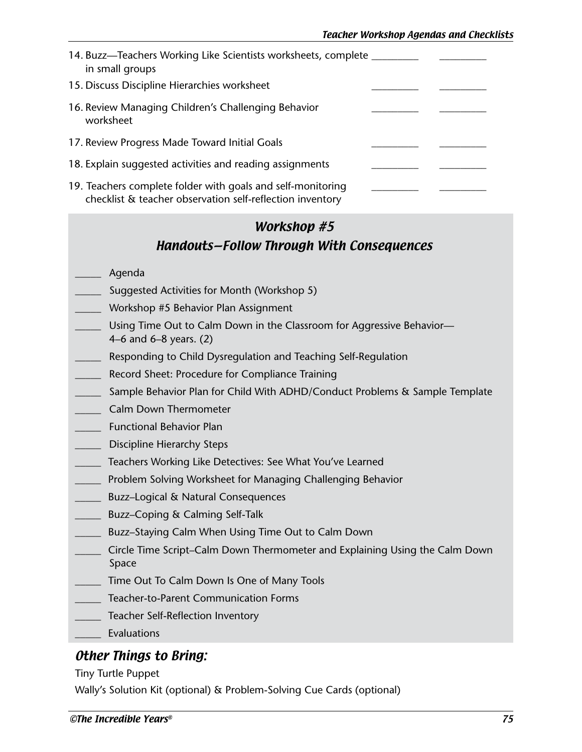| 14. Buzz-Teachers Working Like Scientists worksheets, complete<br>in small groups                                        |  |
|--------------------------------------------------------------------------------------------------------------------------|--|
| 15. Discuss Discipline Hierarchies worksheet                                                                             |  |
| 16. Review Managing Children's Challenging Behavior<br>worksheet                                                         |  |
| 17. Review Progress Made Toward Initial Goals                                                                            |  |
| 18. Explain suggested activities and reading assignments                                                                 |  |
| 19. Teachers complete folder with goals and self-monitoring<br>checklist & teacher observation self-reflection inventory |  |

## Workshop #5 Handouts—Follow Through With Consequences

#### \_\_\_\_\_ Agenda

- Suggested Activities for Month (Workshop 5)
- \_\_\_\_\_ Workshop #5 Behavior Plan Assignment
- Using Time Out to Calm Down in the Classroom for Aggressive Behavior— 4–6 and 6–8 years. (2)
- Responding to Child Dysregulation and Teaching Self-Regulation
- Record Sheet: Procedure for Compliance Training
- \_\_\_\_\_ Sample Behavior Plan for Child With ADHD/Conduct Problems & Sample Template
- \_\_\_\_\_ Calm Down Thermometer
- \_\_\_\_\_ Functional Behavior Plan
- Discipline Hierarchy Steps
- \_\_\_\_\_ Teachers Working Like Detectives: See What You've Learned
- \_\_\_\_\_ Problem Solving Worksheet for Managing Challenging Behavior
- \_\_\_\_\_ Buzz–Logical & Natural Consequences
- \_\_\_\_\_ Buzz–Coping & Calming Self-Talk
- \_\_\_\_\_ Buzz–Staying Calm When Using Time Out to Calm Down
- \_\_\_\_\_ Circle Time Script–Calm Down Thermometer and Explaining Using the Calm Down Space
- \_\_\_\_\_ Time Out To Calm Down Is One of Many Tools
- \_\_\_\_\_ Teacher-to-Parent Communication Forms
- Teacher Self-Reflection Inventory
- \_\_\_\_\_ Evaluations

### Other Things to Bring:

Tiny Turtle Puppet

Wally's Solution Kit (optional) & Problem-Solving Cue Cards (optional)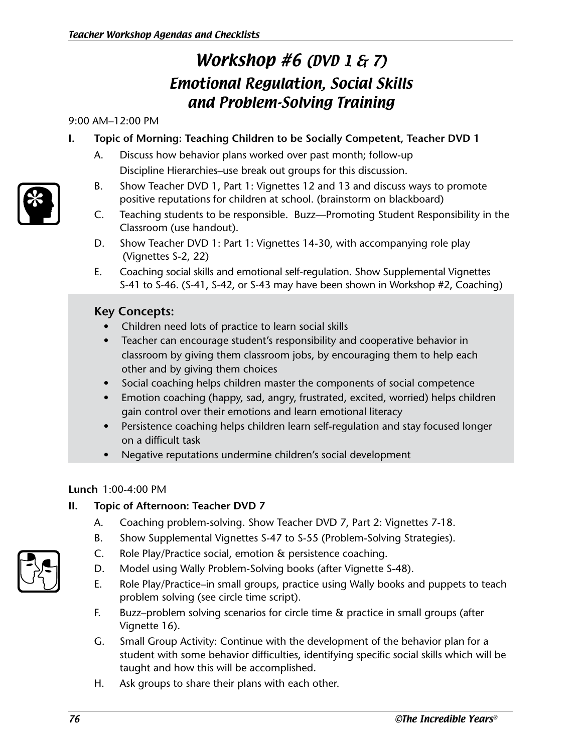# Workshop #6 (DVD 1 & 7) Emotional Regulation, Social Skills and Problem-Solving Training

#### 9:00 AM–12:00 PM

### **I. Topic of Morning: Teaching Children to be Socially Competent, Teacher DVD 1**

- A. Discuss how behavior plans worked over past month; follow-up Discipline Hierarchies–use break out groups for this discussion.
- B. Show Teacher DVD 1, Part 1: Vignettes 12 and 13 and discuss ways to promote positive reputations for children at school. (brainstorm on blackboard)
- C. Teaching students to be responsible. Buzz—Promoting Student Responsibility in the Classroom (use handout).
- D. Show Teacher DVD 1: Part 1: Vignettes 14-30, with accompanying role play (Vignettes S-2, 22)
- E. Coaching social skills and emotional self-regulation. Show Supplemental Vignettes S-41 to S-46. (S-41, S-42, or S-43 may have been shown in Workshop #2, Coaching)

### **Key Concepts:**

- Children need lots of practice to learn social skills
- Teacher can encourage student's responsibility and cooperative behavior in classroom by giving them classroom jobs, by encouraging them to help each other and by giving them choices
- Social coaching helps children master the components of social competence
- Emotion coaching (happy, sad, angry, frustrated, excited, worried) helps children gain control over their emotions and learn emotional literacy
- Persistence coaching helps children learn self-regulation and stay focused longer on a difficult task
- Negative reputations undermine children's social development

### **Lunch** 1:00-4:00 PM

### **II. Topic of Afternoon: Teacher DVD 7**

- A. Coaching problem-solving. Show Teacher DVD 7, Part 2: Vignettes 7-18.
- B. Show Supplemental Vignettes S-47 to S-55 (Problem-Solving Strategies).
- C. Role Play/Practice social, emotion & persistence coaching.
- D. Model using Wally Problem-Solving books (after Vignette S-48).
- E. Role Play/Practice–in small groups, practice using Wally books and puppets to teach problem solving (see circle time script).
- F. Buzz–problem solving scenarios for circle time & practice in small groups (after Vignette 16).
- G. Small Group Activity: Continue with the development of the behavior plan for a student with some behavior difficulties, identifying specific social skills which will be taught and how this will be accomplished.
- H. Ask groups to share their plans with each other.



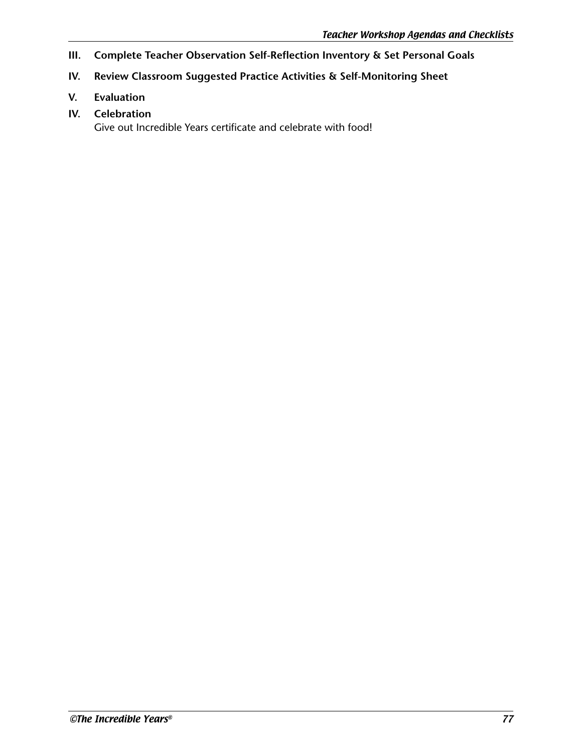- **III. Complete Teacher Observation Self-Reflection Inventory & Set Personal Goals**
- **IV. Review Classroom Suggested Practice Activities & Self-Monitoring Sheet**
- **V. Evaluation**
- **IV. Celebration**

Give out Incredible Years certificate and celebrate with food!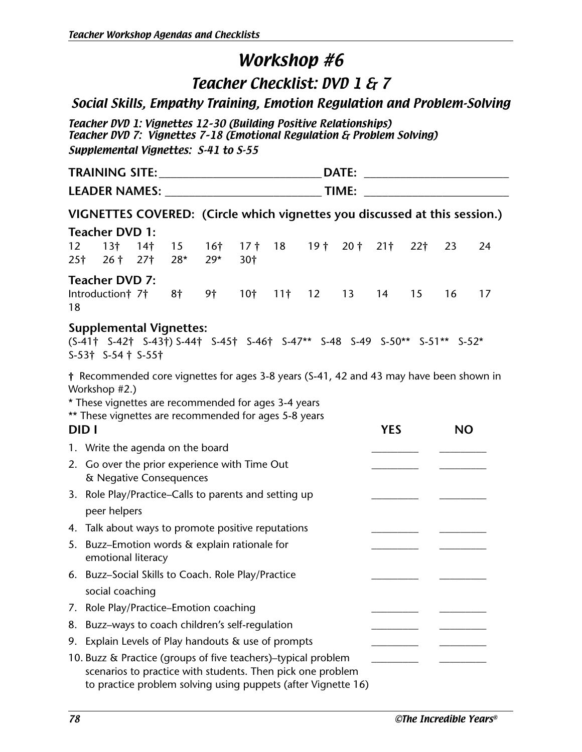## Teacher Checklist: DVD 1 & 7

## Social Skills, Empathy Training, Emotion Regulation and Problem-Solving

Teacher DVD 1: Vignettes 12–30 (Building Positive Relationships) Teacher DVD 7: Vignettes 7–18 (Emotional Regulation & Problem Solving) Supplemental Vignettes: S-41 to S-55

|                       |                                                                                                                                                                                                                           |                 |                                                                                                                                                                                                                                                  |                          |                        |                 |    | DATE:          |            |                 |           | <u> 1980 - Andrea Andrew Maria (h. 1980).</u> |
|-----------------------|---------------------------------------------------------------------------------------------------------------------------------------------------------------------------------------------------------------------------|-----------------|--------------------------------------------------------------------------------------------------------------------------------------------------------------------------------------------------------------------------------------------------|--------------------------|------------------------|-----------------|----|----------------|------------|-----------------|-----------|-----------------------------------------------|
|                       |                                                                                                                                                                                                                           |                 |                                                                                                                                                                                                                                                  |                          |                        |                 |    |                |            |                 |           |                                               |
|                       | VIGNETTES COVERED: (Circle which vignettes you discussed at this session.)                                                                                                                                                |                 |                                                                                                                                                                                                                                                  |                          |                        |                 |    |                |            |                 |           |                                               |
|                       | <b>Teacher DVD 1:</b>                                                                                                                                                                                                     |                 |                                                                                                                                                                                                                                                  |                          |                        |                 |    |                |            |                 |           |                                               |
| 12<br>25 <sup>†</sup> | 13 <sup>†</sup><br>$26†$ 27 $\dagger$                                                                                                                                                                                     | 14 <sup>†</sup> | 15 <sup>2</sup><br>$28*$                                                                                                                                                                                                                         | 16 <sup>†</sup><br>$29*$ | 17 <sup>†</sup><br>30† | 18              |    | 19 † 20 † 21 † |            | 22 <sub>1</sub> | 23        | 24                                            |
|                       | <b>Teacher DVD 7:</b>                                                                                                                                                                                                     |                 |                                                                                                                                                                                                                                                  |                          |                        |                 |    |                |            |                 |           |                                               |
| 18                    | Introduction† 7†                                                                                                                                                                                                          |                 | 8†                                                                                                                                                                                                                                               | 9†                       | 10 <sup>†</sup>        | 11 <sup>†</sup> | 12 | 13             | 14         | 15              | 16        | 17                                            |
|                       | <b>Supplemental Vignettes:</b><br>(S-41† S-42† S-43†) S-44† S-45† S-46† S-47** S-48 S-49 S-50** S-51** S-52*<br>$S-53$ + $S-54$ + $S-55$ +                                                                                |                 |                                                                                                                                                                                                                                                  |                          |                        |                 |    |                |            |                 |           |                                               |
|                       | † Recommended core vignettes for ages 3-8 years (S-41, 42 and 43 may have been shown in<br>Workshop #2.)<br>* These vignettes are recommended for ages 3-4 years<br>** These vignettes are recommended for ages 5-8 years |                 |                                                                                                                                                                                                                                                  |                          |                        |                 |    |                |            |                 |           |                                               |
| DID I                 |                                                                                                                                                                                                                           |                 |                                                                                                                                                                                                                                                  |                          |                        |                 |    |                | <b>YES</b> |                 | <b>NO</b> |                                               |
|                       | 1. Write the agenda on the board                                                                                                                                                                                          |                 |                                                                                                                                                                                                                                                  |                          |                        |                 |    |                |            |                 |           |                                               |
|                       | 2. Go over the prior experience with Time Out<br>& Negative Consequences                                                                                                                                                  |                 |                                                                                                                                                                                                                                                  |                          |                        |                 |    |                |            |                 |           |                                               |
|                       | 3. Role Play/Practice-Calls to parents and setting up                                                                                                                                                                     |                 |                                                                                                                                                                                                                                                  |                          |                        |                 |    |                |            |                 |           |                                               |
|                       | peer helpers                                                                                                                                                                                                              |                 |                                                                                                                                                                                                                                                  |                          |                        |                 |    |                |            |                 |           |                                               |
|                       | 4. Talk about ways to promote positive reputations                                                                                                                                                                        |                 |                                                                                                                                                                                                                                                  |                          |                        |                 |    |                |            |                 |           |                                               |
|                       | 5. Buzz-Emotion words & explain rationale for<br>emotional literacy                                                                                                                                                       |                 |                                                                                                                                                                                                                                                  |                          |                        |                 |    |                |            |                 |           |                                               |
|                       | 6. Buzz-Social Skills to Coach. Role Play/Practice                                                                                                                                                                        |                 |                                                                                                                                                                                                                                                  |                          |                        |                 |    |                |            |                 |           |                                               |
|                       | social coaching                                                                                                                                                                                                           |                 |                                                                                                                                                                                                                                                  |                          |                        |                 |    |                |            |                 |           |                                               |
| 7.                    | Role Play/Practice-Emotion coaching                                                                                                                                                                                       |                 |                                                                                                                                                                                                                                                  |                          |                        |                 |    |                |            |                 |           |                                               |
| 8.                    | Buzz-ways to coach children's self-regulation                                                                                                                                                                             |                 |                                                                                                                                                                                                                                                  |                          |                        |                 |    |                |            |                 |           |                                               |
| 9.                    |                                                                                                                                                                                                                           |                 |                                                                                                                                                                                                                                                  |                          |                        |                 |    |                |            |                 |           |                                               |
|                       |                                                                                                                                                                                                                           |                 | Explain Levels of Play handouts & use of prompts<br>10. Buzz & Practice (groups of five teachers)-typical problem<br>scenarios to practice with students. Then pick one problem<br>to practice problem solving using puppets (after Vignette 16) |                          |                        |                 |    |                |            |                 |           |                                               |